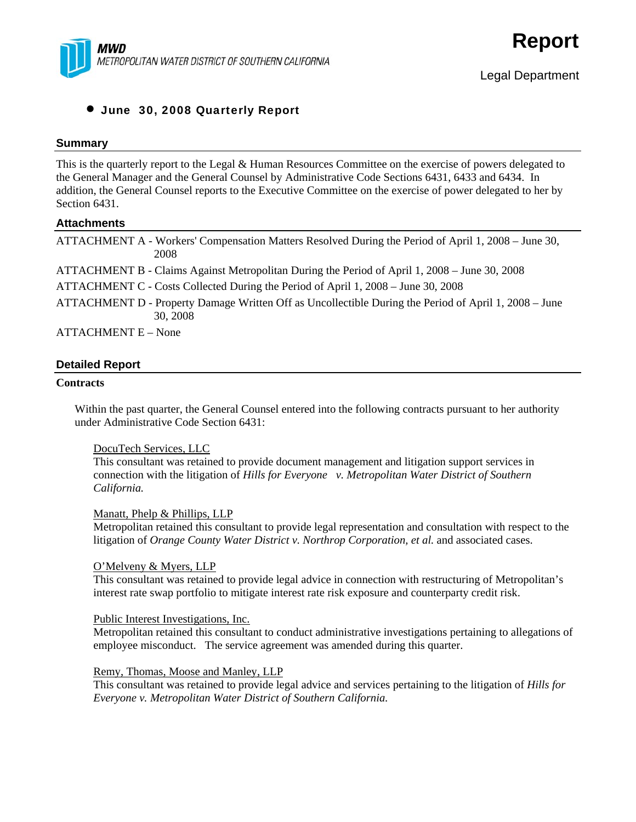

### • June 30, 2008 Quarterly Report

#### **Summary**

This is the quarterly report to the Legal & Human Resources Committee on the exercise of powers delegated to the General Manager and the General Counsel by Administrative Code Sections 6431, 6433 and 6434. In addition, the General Counsel reports to the Executive Committee on the exercise of power delegated to her by Section 6431.

#### **Attachments**

|                | ATTACHMENT A - Workers' Compensation Matters Resolved During the Period of April 1, 2008 – June 30,<br>2008       |
|----------------|-------------------------------------------------------------------------------------------------------------------|
|                | ATTACHMENT B - Claims Against Metropolitan During the Period of April 1, 2008 – June 30, 2008                     |
|                | ATTACHMENT C - Costs Collected During the Period of April 1, 2008 – June 30, 2008                                 |
|                | ATTACHMENT D - Property Damage Written Off as Uncollectible During the Period of April 1, 2008 – June<br>30, 2008 |
| $\overline{1}$ |                                                                                                                   |

ATTACHMENT E – None

### **Detailed Report**

#### **Contracts**

Within the past quarter, the General Counsel entered into the following contracts pursuant to her authority under Administrative Code Section 6431:

### DocuTech Services, LLC

This consultant was retained to provide document management and litigation support services in connection with the litigation of *Hills for Everyone v. Metropolitan Water District of Southern California.* 

#### Manatt, Phelp & Phillips, LLP

Metropolitan retained this consultant to provide legal representation and consultation with respect to the litigation of *Orange County Water District v. Northrop Corporation, et al.* and associated cases.

#### O'Melveny & Myers, LLP

This consultant was retained to provide legal advice in connection with restructuring of Metropolitan's interest rate swap portfolio to mitigate interest rate risk exposure and counterparty credit risk.

#### Public Interest Investigations, Inc.

Metropolitan retained this consultant to conduct administrative investigations pertaining to allegations of employee misconduct. The service agreement was amended during this quarter.

Remy, Thomas, Moose and Manley, LLP

This consultant was retained to provide legal advice and services pertaining to the litigation of *Hills for Everyone v. Metropolitan Water District of Southern California.*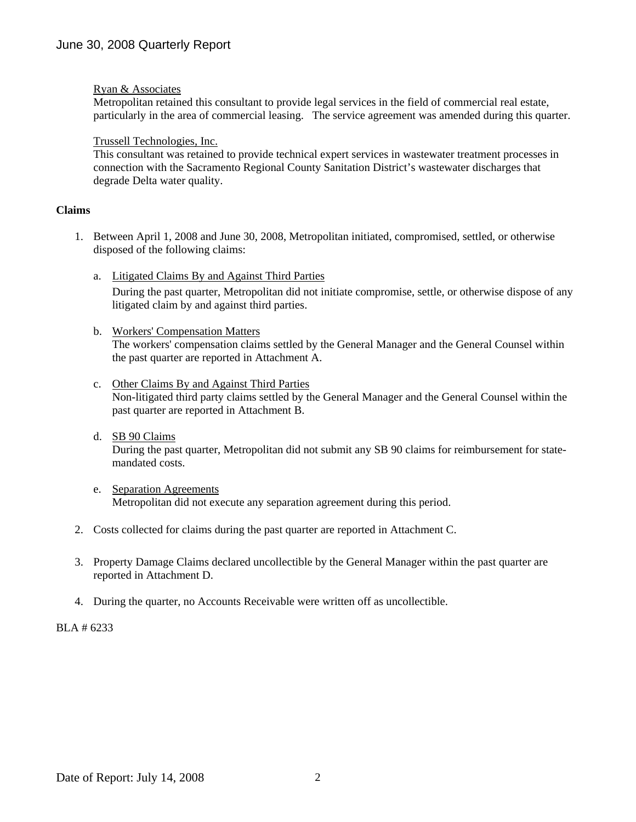### Ryan & Associates

Metropolitan retained this consultant to provide legal services in the field of commercial real estate, particularly in the area of commercial leasing. The service agreement was amended during this quarter.

#### Trussell Technologies, Inc.

This consultant was retained to provide technical expert services in wastewater treatment processes in connection with the Sacramento Regional County Sanitation District's wastewater discharges that degrade Delta water quality.

### **Claims**

- 1. Between April 1, 2008 and June 30, 2008, Metropolitan initiated, compromised, settled, or otherwise disposed of the following claims:
	- a. Litigated Claims By and Against Third Parties

During the past quarter, Metropolitan did not initiate compromise, settle, or otherwise dispose of any litigated claim by and against third parties.

- b. Workers' Compensation Matters The workers' compensation claims settled by the General Manager and the General Counsel within the past quarter are reported in Attachment A.
- c. Other Claims By and Against Third Parties Non-litigated third party claims settled by the General Manager and the General Counsel within the past quarter are reported in Attachment B.
- d. SB 90 Claims During the past quarter, Metropolitan did not submit any SB 90 claims for reimbursement for statemandated costs.
- e. Separation Agreements Metropolitan did not execute any separation agreement during this period.
- 2. Costs collected for claims during the past quarter are reported in Attachment C.
- 3. Property Damage Claims declared uncollectible by the General Manager within the past quarter are reported in Attachment D.
- 4. During the quarter, no Accounts Receivable were written off as uncollectible.

BLA # 6233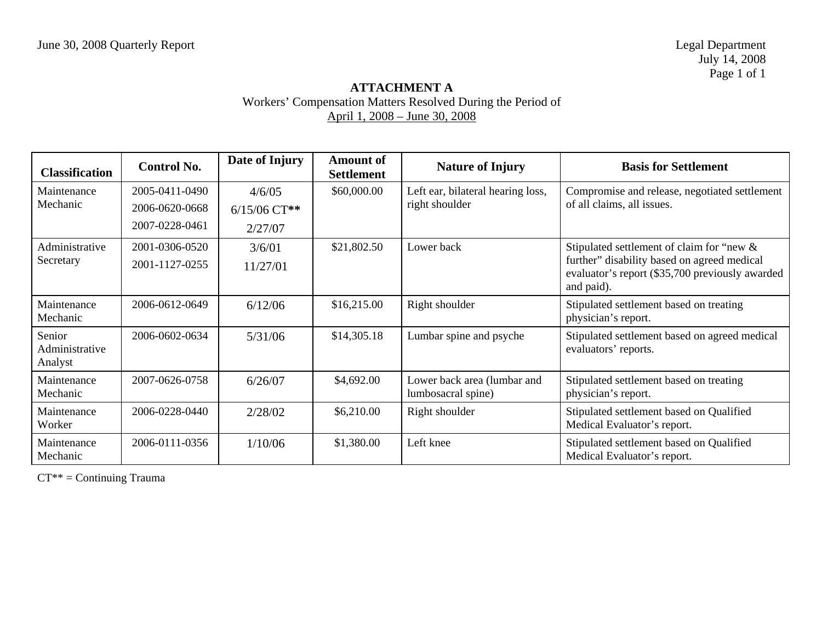## **ATTACHMENT A**  Workers' Compensation Matters Resolved During the Period of April 1, 2008 – June 30, 2008

| <b>Classification</b>               | <b>Control No.</b> | Date of Injury | <b>Amount of</b><br><b>Settlement</b> | <b>Nature of Injury</b>                           | <b>Basis for Settlement</b>                                                                                  |
|-------------------------------------|--------------------|----------------|---------------------------------------|---------------------------------------------------|--------------------------------------------------------------------------------------------------------------|
| Maintenance<br>Mechanic             | 2005-0411-0490     | 4/6/05         | \$60,000.00                           | Left ear, bilateral hearing loss,                 | Compromise and release, negotiated settlement                                                                |
|                                     | 2006-0620-0668     | $6/15/06$ CT** |                                       | right shoulder                                    | of all claims, all issues.                                                                                   |
|                                     | 2007-0228-0461     | 2/27/07        |                                       |                                                   |                                                                                                              |
| Administrative                      | 2001-0306-0520     | 3/6/01         | \$21,802.50                           | Lower back                                        | Stipulated settlement of claim for "new &                                                                    |
| Secretary                           | 2001-1127-0255     | 11/27/01       |                                       |                                                   | further" disability based on agreed medical<br>evaluator's report (\$35,700 previously awarded<br>and paid). |
| Maintenance<br>Mechanic             | 2006-0612-0649     | 6/12/06        | \$16,215.00                           | Right shoulder                                    | Stipulated settlement based on treating<br>physician's report.                                               |
| Senior<br>Administrative<br>Analyst | 2006-0602-0634     | 5/31/06        | \$14,305.18                           | Lumbar spine and psyche                           | Stipulated settlement based on agreed medical<br>evaluators' reports.                                        |
| Maintenance<br>Mechanic             | 2007-0626-0758     | 6/26/07        | \$4,692.00                            | Lower back area (lumbar and<br>lumbosacral spine) | Stipulated settlement based on treating<br>physician's report.                                               |
| Maintenance<br>Worker               | 2006-0228-0440     | 2/28/02        | \$6,210.00                            | Right shoulder                                    | Stipulated settlement based on Qualified<br>Medical Evaluator's report.                                      |
| Maintenance<br>Mechanic             | 2006-0111-0356     | 1/10/06        | \$1,380.00                            | Left knee                                         | Stipulated settlement based on Qualified<br>Medical Evaluator's report.                                      |

CT\*\* = Continuing Trauma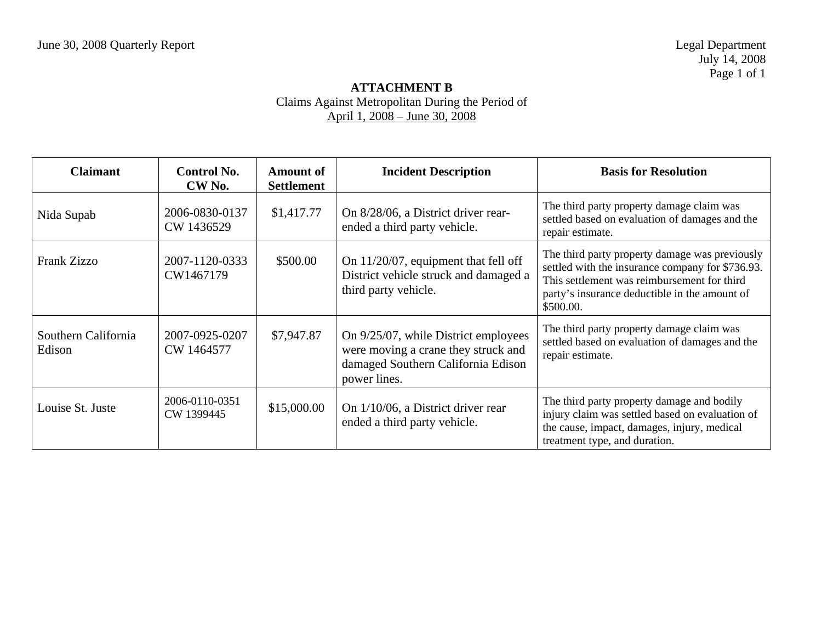### **ATTACHMENT B**  Claims Against Metropolitan During the Period of April 1, 2008 – June 30, 2008

| <b>Claimant</b>               | <b>Control No.</b><br>CW No. | <b>Amount of</b><br><b>Settlement</b> | <b>Incident Description</b>                                                                                                       | <b>Basis for Resolution</b>                                                                                                                                                                                     |
|-------------------------------|------------------------------|---------------------------------------|-----------------------------------------------------------------------------------------------------------------------------------|-----------------------------------------------------------------------------------------------------------------------------------------------------------------------------------------------------------------|
| Nida Supab                    | 2006-0830-0137<br>CW 1436529 | \$1,417.77                            | On 8/28/06, a District driver rear-<br>ended a third party vehicle.                                                               | The third party property damage claim was<br>settled based on evaluation of damages and the<br>repair estimate.                                                                                                 |
| <b>Frank Zizzo</b>            | 2007-1120-0333<br>CW1467179  | \$500.00                              | On $11/20/07$ , equipment that fell off<br>District vehicle struck and damaged a<br>third party vehicle.                          | The third party property damage was previously<br>settled with the insurance company for \$736.93.<br>This settlement was reimbursement for third<br>party's insurance deductible in the amount of<br>\$500.00. |
| Southern California<br>Edison | 2007-0925-0207<br>CW 1464577 | \$7,947.87                            | On 9/25/07, while District employees<br>were moving a crane they struck and<br>damaged Southern California Edison<br>power lines. | The third party property damage claim was<br>settled based on evaluation of damages and the<br>repair estimate.                                                                                                 |
| Louise St. Juste              | 2006-0110-0351<br>CW 1399445 | \$15,000.00                           | On 1/10/06, a District driver rear<br>ended a third party vehicle.                                                                | The third party property damage and bodily<br>injury claim was settled based on evaluation of<br>the cause, impact, damages, injury, medical<br>treatment type, and duration.                                   |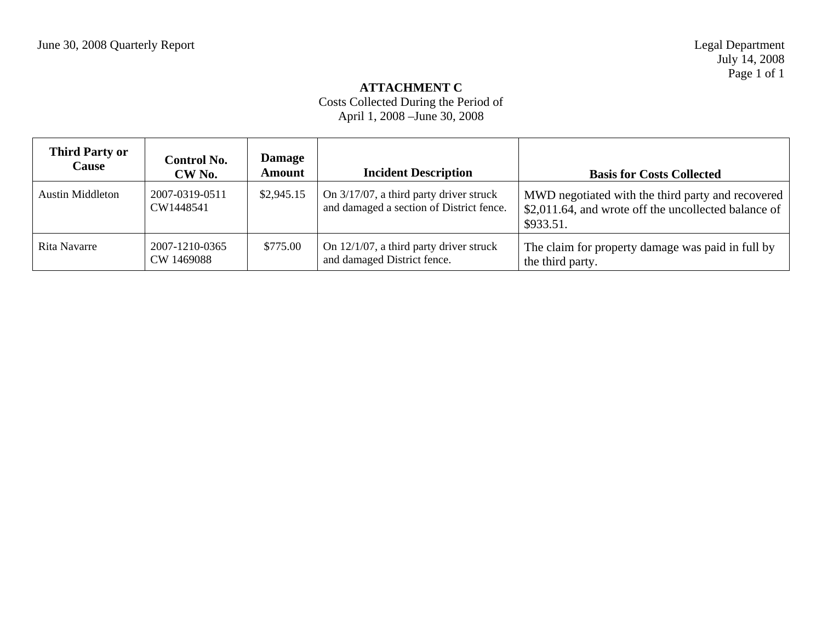### **ATTACHMENT C**

# Costs Collected During the Period of April 1, 2008 –June 30, 2008

| <b>Third Party or</b><br><b>Cause</b> | <b>Control No.</b><br>CW <sub>No.</sub> | <b>Damage</b><br><b>Amount</b> | <b>Incident Description</b>                                                         | <b>Basis for Costs Collected</b>                                                                                       |
|---------------------------------------|-----------------------------------------|--------------------------------|-------------------------------------------------------------------------------------|------------------------------------------------------------------------------------------------------------------------|
| Austin Middleton                      | 2007-0319-0511<br>CW1448541             | \$2,945.15                     | On 3/17/07, a third party driver struck<br>and damaged a section of District fence. | MWD negotiated with the third party and recovered<br>\$2,011.64, and wrote off the uncollected balance of<br>\$933.51. |
| Rita Navarre                          | 2007-1210-0365<br>CW 1469088            | \$775.00                       | On $12/1/07$ , a third party driver struck<br>and damaged District fence.           | The claim for property damage was paid in full by<br>the third party.                                                  |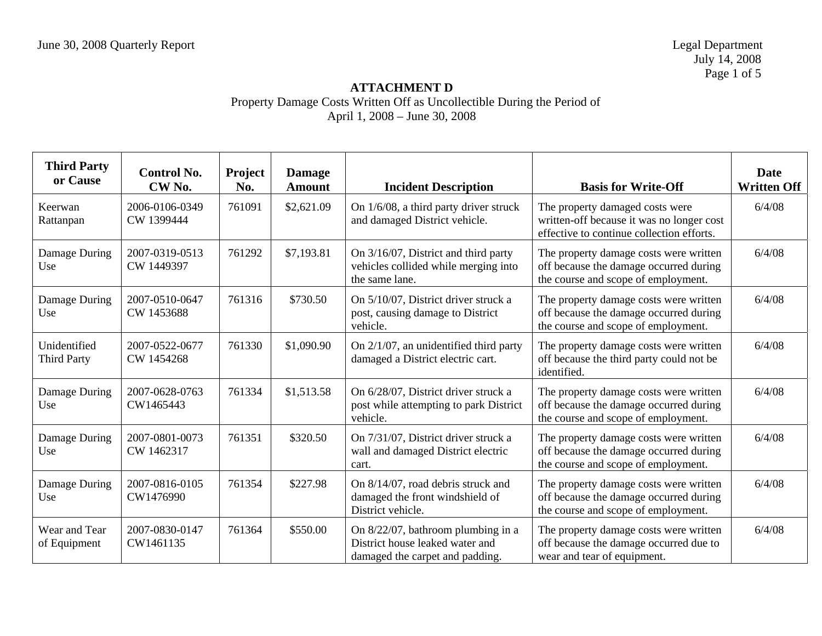July 14, 2008 Page 1 of 5

| <b>Third Party</b><br>or Cause     | <b>Control No.</b><br>CW <sub>No.</sub> | <b>Project</b><br>No. | <b>Damage</b><br><b>Amount</b> | <b>Incident Description</b>                                                                              | <b>Basis for Write-Off</b>                                                                                                | <b>Date</b><br><b>Written Off</b> |
|------------------------------------|-----------------------------------------|-----------------------|--------------------------------|----------------------------------------------------------------------------------------------------------|---------------------------------------------------------------------------------------------------------------------------|-----------------------------------|
| Keerwan<br>Rattanpan               | 2006-0106-0349<br>CW 1399444            | 761091                | \$2,621.09                     | On 1/6/08, a third party driver struck<br>and damaged District vehicle.                                  | The property damaged costs were<br>written-off because it was no longer cost<br>effective to continue collection efforts. | 6/4/08                            |
| Damage During<br>Use               | 2007-0319-0513<br>CW 1449397            | 761292                | \$7,193.81                     | On 3/16/07, District and third party<br>vehicles collided while merging into<br>the same lane.           | The property damage costs were written<br>off because the damage occurred during<br>the course and scope of employment.   | 6/4/08                            |
| Damage During<br>Use               | 2007-0510-0647<br>CW 1453688            | 761316                | \$730.50                       | On 5/10/07, District driver struck a<br>post, causing damage to District<br>vehicle.                     | The property damage costs were written<br>off because the damage occurred during<br>the course and scope of employment.   | 6/4/08                            |
| Unidentified<br><b>Third Party</b> | 2007-0522-0677<br>CW 1454268            | 761330                | \$1,090.90                     | On $2/1/07$ , an unidentified third party<br>damaged a District electric cart.                           | The property damage costs were written<br>off because the third party could not be<br>identified.                         | 6/4/08                            |
| Damage During<br>Use               | 2007-0628-0763<br>CW1465443             | 761334                | \$1,513.58                     | On 6/28/07, District driver struck a<br>post while attempting to park District<br>vehicle.               | The property damage costs were written<br>off because the damage occurred during<br>the course and scope of employment.   | 6/4/08                            |
| Damage During<br>Use               | 2007-0801-0073<br>CW 1462317            | 761351                | \$320.50                       | On 7/31/07, District driver struck a<br>wall and damaged District electric<br>cart.                      | The property damage costs were written<br>off because the damage occurred during<br>the course and scope of employment.   | 6/4/08                            |
| Damage During<br>Use               | 2007-0816-0105<br>CW1476990             | 761354                | \$227.98                       | On 8/14/07, road debris struck and<br>damaged the front windshield of<br>District vehicle.               | The property damage costs were written<br>off because the damage occurred during<br>the course and scope of employment.   | 6/4/08                            |
| Wear and Tear<br>of Equipment      | 2007-0830-0147<br>CW1461135             | 761364                | \$550.00                       | On 8/22/07, bathroom plumbing in a<br>District house leaked water and<br>damaged the carpet and padding. | The property damage costs were written<br>off because the damage occurred due to<br>wear and tear of equipment.           | 6/4/08                            |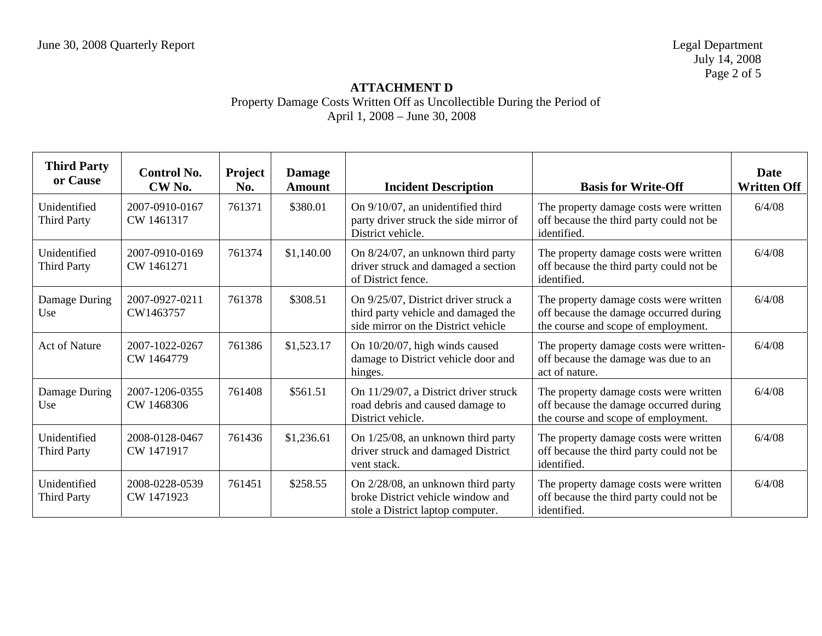July 14, 2008 Page 2 of 5

| <b>Third Party</b><br>or Cause     | <b>Control No.</b><br>CW No. | Project<br>No. | <b>Damage</b><br><b>Amount</b> | <b>Incident Description</b>                                                                                        | <b>Basis for Write-Off</b>                                                                                              | <b>Date</b><br><b>Written Off</b> |
|------------------------------------|------------------------------|----------------|--------------------------------|--------------------------------------------------------------------------------------------------------------------|-------------------------------------------------------------------------------------------------------------------------|-----------------------------------|
| Unidentified<br><b>Third Party</b> | 2007-0910-0167<br>CW 1461317 | 761371         | \$380.01                       | On 9/10/07, an unidentified third<br>party driver struck the side mirror of<br>District vehicle.                   | The property damage costs were written<br>off because the third party could not be<br>identified.                       | 6/4/08                            |
| Unidentified<br><b>Third Party</b> | 2007-0910-0169<br>CW 1461271 | 761374         | \$1,140.00                     | On 8/24/07, an unknown third party<br>driver struck and damaged a section<br>of District fence.                    | The property damage costs were written<br>off because the third party could not be<br>identified.                       | 6/4/08                            |
| Damage During<br>Use               | 2007-0927-0211<br>CW1463757  | 761378         | \$308.51                       | On 9/25/07, District driver struck a<br>third party vehicle and damaged the<br>side mirror on the District vehicle | The property damage costs were written<br>off because the damage occurred during<br>the course and scope of employment. | 6/4/08                            |
| <b>Act of Nature</b>               | 2007-1022-0267<br>CW 1464779 | 761386         | \$1,523.17                     | On 10/20/07, high winds caused<br>damage to District vehicle door and<br>hinges.                                   | The property damage costs were written-<br>off because the damage was due to an<br>act of nature.                       | 6/4/08                            |
| Damage During<br>Use               | 2007-1206-0355<br>CW 1468306 | 761408         | \$561.51                       | On 11/29/07, a District driver struck<br>road debris and caused damage to<br>District vehicle.                     | The property damage costs were written<br>off because the damage occurred during<br>the course and scope of employment. | 6/4/08                            |
| Unidentified<br><b>Third Party</b> | 2008-0128-0467<br>CW 1471917 | 761436         | \$1,236.61                     | On 1/25/08, an unknown third party<br>driver struck and damaged District<br>vent stack.                            | The property damage costs were written<br>off because the third party could not be<br>identified.                       | 6/4/08                            |
| Unidentified<br><b>Third Party</b> | 2008-0228-0539<br>CW 1471923 | 761451         | \$258.55                       | On 2/28/08, an unknown third party<br>broke District vehicle window and<br>stole a District laptop computer.       | The property damage costs were written<br>off because the third party could not be<br>identified.                       | 6/4/08                            |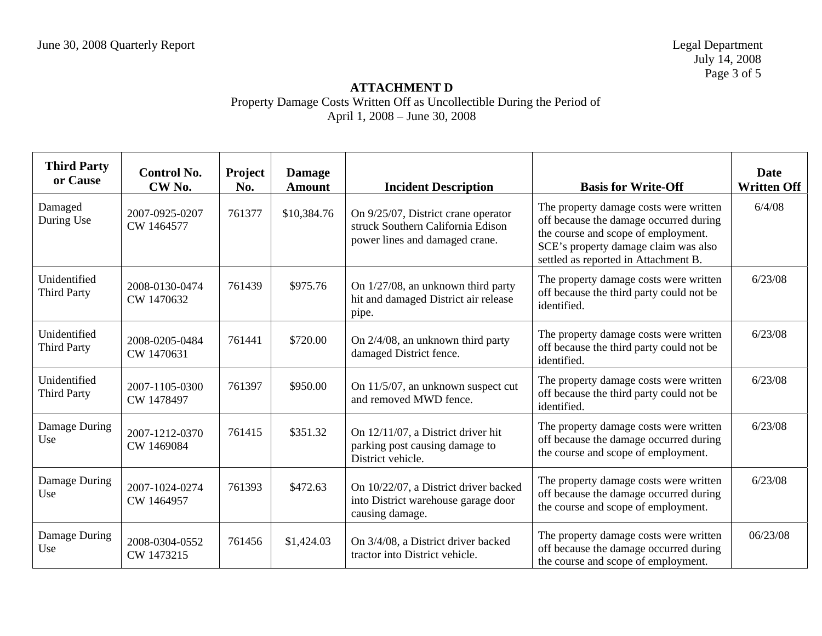July 14, 2008 Page 3 of 5

| <b>Third Party</b><br>or Cause     | <b>Control No.</b><br>CW <sub>No.</sub> | Project<br>No. | <b>Damage</b><br><b>Amount</b> | <b>Incident Description</b>                                                                                | <b>Basis for Write-Off</b>                                                                                                                                                                              | <b>Date</b><br><b>Written Off</b> |
|------------------------------------|-----------------------------------------|----------------|--------------------------------|------------------------------------------------------------------------------------------------------------|---------------------------------------------------------------------------------------------------------------------------------------------------------------------------------------------------------|-----------------------------------|
| Damaged<br>During Use              | 2007-0925-0207<br>CW 1464577            | 761377         | \$10,384.76                    | On 9/25/07, District crane operator<br>struck Southern California Edison<br>power lines and damaged crane. | The property damage costs were written<br>off because the damage occurred during<br>the course and scope of employment.<br>SCE's property damage claim was also<br>settled as reported in Attachment B. | 6/4/08                            |
| Unidentified<br><b>Third Party</b> | 2008-0130-0474<br>CW 1470632            | 761439         | \$975.76                       | On 1/27/08, an unknown third party<br>hit and damaged District air release<br>pipe.                        | The property damage costs were written<br>off because the third party could not be<br>identified.                                                                                                       | 6/23/08                           |
| Unidentified<br><b>Third Party</b> | 2008-0205-0484<br>CW 1470631            | 761441         | \$720.00                       | On 2/4/08, an unknown third party<br>damaged District fence.                                               | The property damage costs were written<br>off because the third party could not be<br>identified.                                                                                                       | 6/23/08                           |
| Unidentified<br><b>Third Party</b> | 2007-1105-0300<br>CW 1478497            | 761397         | \$950.00                       | On 11/5/07, an unknown suspect cut<br>and removed MWD fence.                                               | The property damage costs were written<br>off because the third party could not be<br>identified.                                                                                                       | 6/23/08                           |
| Damage During<br>Use               | 2007-1212-0370<br>CW 1469084            | 761415         | \$351.32                       | On 12/11/07, a District driver hit<br>parking post causing damage to<br>District vehicle.                  | The property damage costs were written<br>off because the damage occurred during<br>the course and scope of employment.                                                                                 | 6/23/08                           |
| Damage During<br>Use               | 2007-1024-0274<br>CW 1464957            | 761393         | \$472.63                       | On 10/22/07, a District driver backed<br>into District warehouse garage door<br>causing damage.            | The property damage costs were written<br>off because the damage occurred during<br>the course and scope of employment.                                                                                 | 6/23/08                           |
| Damage During<br>Use               | 2008-0304-0552<br>CW 1473215            | 761456         | \$1,424.03                     | On 3/4/08, a District driver backed<br>tractor into District vehicle.                                      | The property damage costs were written<br>off because the damage occurred during<br>the course and scope of employment.                                                                                 | 06/23/08                          |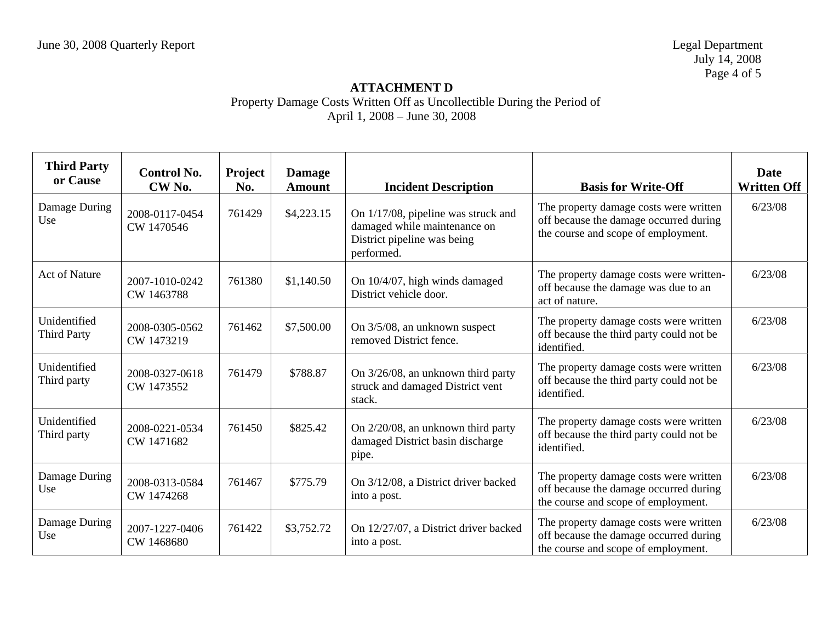| <b>Third Party</b><br>or Cause     | <b>Control No.</b><br>CW <sub>No.</sub> | <b>Project</b><br>No. | <b>Damage</b><br><b>Amount</b> | <b>Incident Description</b>                                                                                      | <b>Basis for Write-Off</b>                                                                                              | <b>Date</b><br><b>Written Off</b> |
|------------------------------------|-----------------------------------------|-----------------------|--------------------------------|------------------------------------------------------------------------------------------------------------------|-------------------------------------------------------------------------------------------------------------------------|-----------------------------------|
| Damage During<br>Use               | 2008-0117-0454<br>CW 1470546            | 761429                | \$4,223.15                     | On 1/17/08, pipeline was struck and<br>damaged while maintenance on<br>District pipeline was being<br>performed. | The property damage costs were written<br>off because the damage occurred during<br>the course and scope of employment. | 6/23/08                           |
| <b>Act of Nature</b>               | 2007-1010-0242<br>CW 1463788            | 761380                | \$1,140.50                     | On 10/4/07, high winds damaged<br>District vehicle door.                                                         | The property damage costs were written-<br>off because the damage was due to an<br>act of nature.                       | 6/23/08                           |
| Unidentified<br><b>Third Party</b> | 2008-0305-0562<br>CW 1473219            | 761462                | \$7,500.00                     | On 3/5/08, an unknown suspect<br>removed District fence.                                                         | The property damage costs were written<br>off because the third party could not be<br>identified.                       | 6/23/08                           |
| Unidentified<br>Third party        | 2008-0327-0618<br>CW 1473552            | 761479                | \$788.87                       | On 3/26/08, an unknown third party<br>struck and damaged District vent<br>stack.                                 | The property damage costs were written<br>off because the third party could not be<br>identified.                       | 6/23/08                           |
| Unidentified<br>Third party        | 2008-0221-0534<br>CW 1471682            | 761450                | \$825.42                       | On 2/20/08, an unknown third party<br>damaged District basin discharge<br>pipe.                                  | The property damage costs were written<br>off because the third party could not be<br>identified.                       | 6/23/08                           |
| Damage During<br>Use               | 2008-0313-0584<br>CW 1474268            | 761467                | \$775.79                       | On 3/12/08, a District driver backed<br>into a post.                                                             | The property damage costs were written<br>off because the damage occurred during<br>the course and scope of employment. | 6/23/08                           |
| Damage During<br>Use               | 2007-1227-0406<br>CW 1468680            | 761422                | \$3,752.72                     | On 12/27/07, a District driver backed<br>into a post.                                                            | The property damage costs were written<br>off because the damage occurred during<br>the course and scope of employment. | 6/23/08                           |